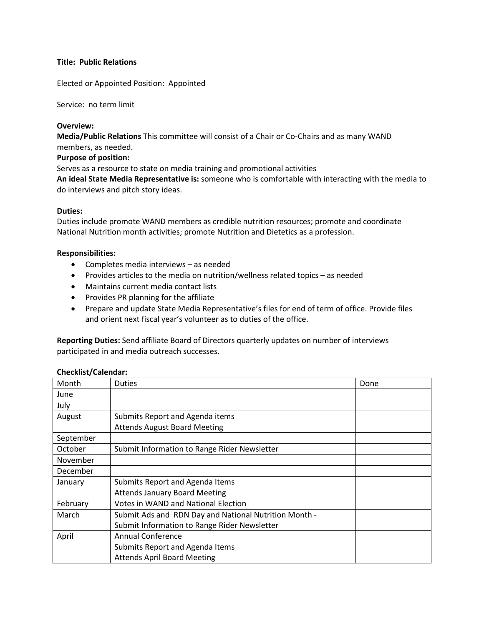# **Title: Public Relations**

Elected or Appointed Position: Appointed

Service: no term limit

### **Overview:**

**Media/Public Relations** This committee will consist of a Chair or Co-Chairs and as many WAND members, as needed.

**Purpose of position:** 

Serves as a resource to state on media training and promotional activities

**An ideal State Media Representative is:** someone who is comfortable with interacting with the media to do interviews and pitch story ideas.

### **Duties:**

Duties include promote WAND members as credible nutrition resources; promote and coordinate National Nutrition month activities; promote Nutrition and Dietetics as a profession.

### **Responsibilities:**

- Completes media interviews as needed
- Provides articles to the media on nutrition/wellness related topics as needed
- Maintains current media contact lists
- Provides PR planning for the affiliate
- Prepare and update State Media Representative's files for end of term of office. Provide files and orient next fiscal year's volunteer as to duties of the office.

**Reporting Duties:** Send affiliate Board of Directors quarterly updates on number of interviews participated in and media outreach successes.

#### **Checklist/Calendar:**

| Month     | <b>Duties</b>                                         | Done |
|-----------|-------------------------------------------------------|------|
| June      |                                                       |      |
| July      |                                                       |      |
| August    | Submits Report and Agenda items                       |      |
|           | <b>Attends August Board Meeting</b>                   |      |
| September |                                                       |      |
| October   | Submit Information to Range Rider Newsletter          |      |
| November  |                                                       |      |
| December  |                                                       |      |
| January   | Submits Report and Agenda Items                       |      |
|           | <b>Attends January Board Meeting</b>                  |      |
| February  | Votes in WAND and National Election                   |      |
| March     | Submit Ads and RDN Day and National Nutrition Month - |      |
|           | Submit Information to Range Rider Newsletter          |      |
| April     | Annual Conference                                     |      |
|           | Submits Report and Agenda Items                       |      |
|           | <b>Attends April Board Meeting</b>                    |      |